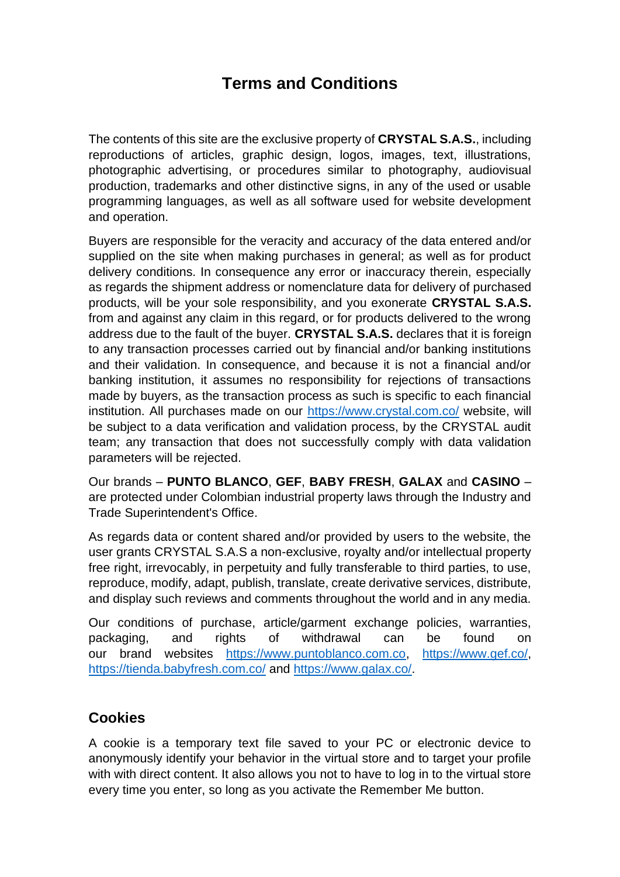## **Terms and Conditions**

The contents of this site are the exclusive property of **CRYSTAL S.A.S.**, including reproductions of articles, graphic design, logos, images, text, illustrations, photographic advertising, or procedures similar to photography, audiovisual production, trademarks and other distinctive signs, in any of the used or usable programming languages, as well as all software used for website development and operation.

Buyers are responsible for the veracity and accuracy of the data entered and/or supplied on the site when making purchases in general; as well as for product delivery conditions. In consequence any error or inaccuracy therein, especially as regards the shipment address or nomenclature data for delivery of purchased products, will be your sole responsibility, and you exonerate **CRYSTAL S.A.S.** from and against any claim in this regard, or for products delivered to the wrong address due to the fault of the buyer. **CRYSTAL S.A.S.** declares that it is foreign to any transaction processes carried out by financial and/or banking institutions and their validation. In consequence, and because it is not a financial and/or banking institution, it assumes no responsibility for rejections of transactions made by buyers, as the transaction process as such is specific to each financial institution. All purchases made on our<https://www.crystal.com.co/> website, will be subject to a data verification and validation process, by the CRYSTAL audit team; any transaction that does not successfully comply with data validation parameters will be rejected.

Our brands – **PUNTO BLANCO**, **GEF**, **BABY FRESH**, **GALAX** and **CASINO** – are protected under Colombian industrial property laws through the Industry and Trade Superintendent's Office.

As regards data or content shared and/or provided by users to the website, the user grants CRYSTAL S.A.S a non-exclusive, royalty and/or intellectual property free right, irrevocably, in perpetuity and fully transferable to third parties, to use, reproduce, modify, adapt, publish, translate, create derivative services, distribute, and display such reviews and comments throughout the world and in any media.

Our conditions of purchase, article/garment exchange policies, warranties, packaging, and rights of withdrawal can be found on our brand websites [https://www.puntoblanco.com.co,](https://www.puntoblanco.com.co/) [https://www.gef.co/,](https://www.gef.co/) <https://tienda.babyfresh.com.co/> and [https://www.galax.co/.](https://www.galax.co/)

## **Cookies**

A cookie is a temporary text file saved to your PC or electronic device to anonymously identify your behavior in the virtual store and to target your profile with with direct content. It also allows you not to have to log in to the virtual store every time you enter, so long as you activate the Remember Me button.